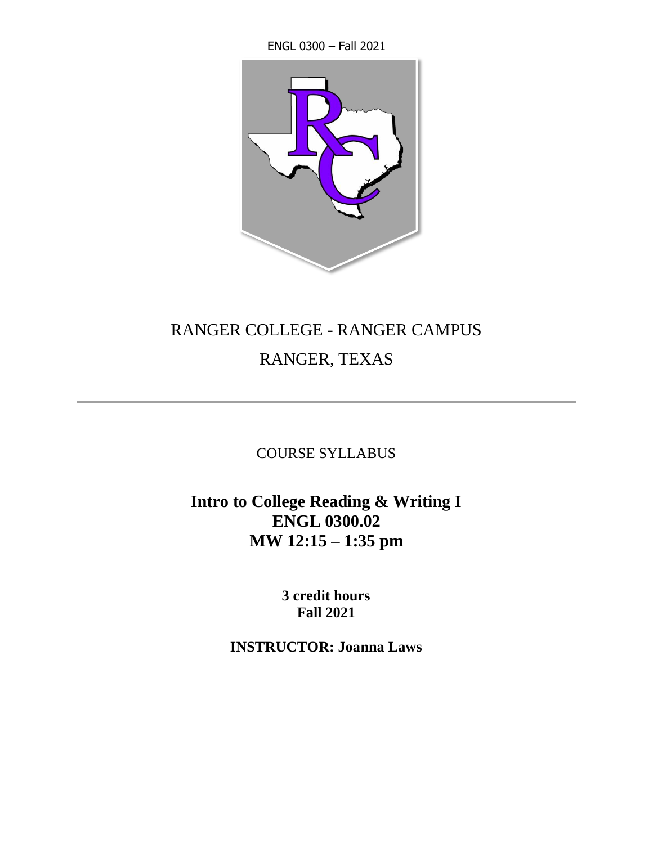ENGL 0300 – Fall 2021



# RANGER COLLEGE - RANGER CAMPUS

## RANGER, TEXAS

COURSE SYLLABUS

**Intro to College Reading & Writing I ENGL 0300.02 MW 12:15 – 1:35 pm**

> **3 credit hours Fall 2021**

**INSTRUCTOR: Joanna Laws**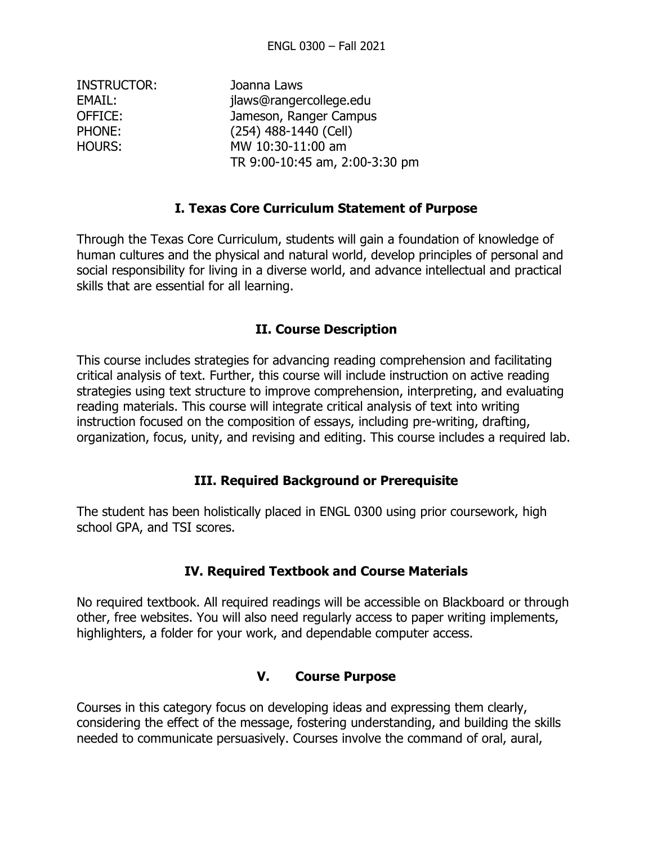| Joanna Laws                    |
|--------------------------------|
| jlaws@rangercollege.edu        |
| Jameson, Ranger Campus         |
| (254) 488-1440 (Cell)          |
| MW 10:30-11:00 am              |
| TR 9:00-10:45 am, 2:00-3:30 pm |
|                                |

#### **I. Texas Core Curriculum Statement of Purpose**

Through the Texas Core Curriculum, students will gain a foundation of knowledge of human cultures and the physical and natural world, develop principles of personal and social responsibility for living in a diverse world, and advance intellectual and practical skills that are essential for all learning.

#### **II. Course Description**

This course includes strategies for advancing reading comprehension and facilitating critical analysis of text. Further, this course will include instruction on active reading strategies using text structure to improve comprehension, interpreting, and evaluating reading materials. This course will integrate critical analysis of text into writing instruction focused on the composition of essays, including pre-writing, drafting, organization, focus, unity, and revising and editing. This course includes a required lab.

#### **III. Required Background or Prerequisite**

The student has been holistically placed in ENGL 0300 using prior coursework, high school GPA, and TSI scores.

#### **IV. Required Textbook and Course Materials**

No required textbook. All required readings will be accessible on Blackboard or through other, free websites. You will also need regularly access to paper writing implements, highlighters, a folder for your work, and dependable computer access.

#### **V. Course Purpose**

Courses in this category focus on developing ideas and expressing them clearly, considering the effect of the message, fostering understanding, and building the skills needed to communicate persuasively. Courses involve the command of oral, aural,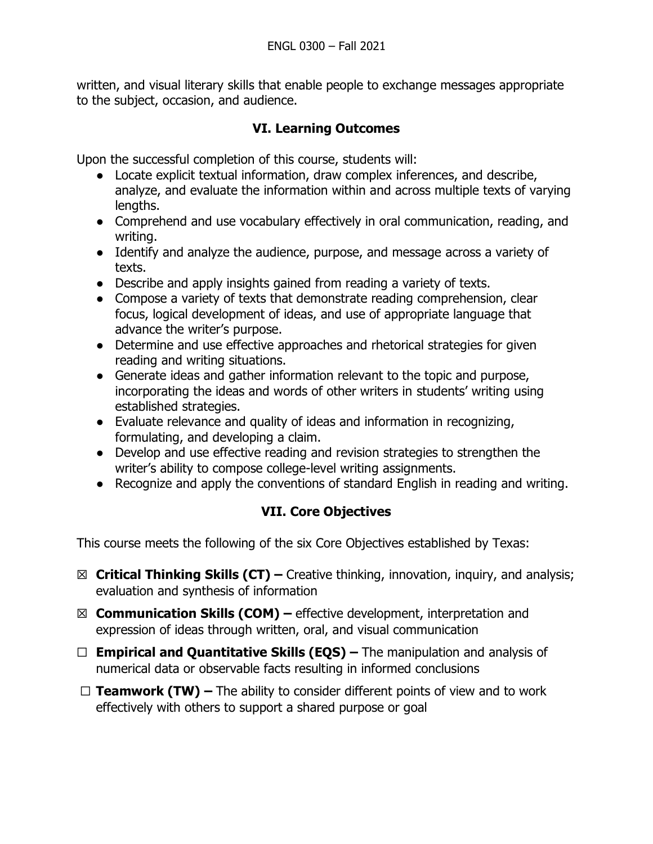written, and visual literary skills that enable people to exchange messages appropriate to the subject, occasion, and audience.

## **VI. Learning Outcomes**

Upon the successful completion of this course, students will:

- Locate explicit textual information, draw complex inferences, and describe, analyze, and evaluate the information within and across multiple texts of varying lengths.
- Comprehend and use vocabulary effectively in oral communication, reading, and writing.
- Identify and analyze the audience, purpose, and message across a variety of texts.
- Describe and apply insights gained from reading a variety of texts.
- Compose a variety of texts that demonstrate reading comprehension, clear focus, logical development of ideas, and use of appropriate language that advance the writer's purpose.
- Determine and use effective approaches and rhetorical strategies for given reading and writing situations.
- Generate ideas and gather information relevant to the topic and purpose, incorporating the ideas and words of other writers in students' writing using established strategies.
- Evaluate relevance and quality of ideas and information in recognizing, formulating, and developing a claim.
- Develop and use effective reading and revision strategies to strengthen the writer's ability to compose college-level writing assignments.
- Recognize and apply the conventions of standard English in reading and writing.

## **VII. Core Objectives**

This course meets the following of the six Core Objectives established by Texas:

- ☒ **Critical Thinking Skills (CT) –** Creative thinking, innovation, inquiry, and analysis; evaluation and synthesis of information
- ☒ **Communication Skills (COM) –** effective development, interpretation and expression of ideas through written, oral, and visual communication
- ☐ **Empirical and Quantitative Skills (EQS) –** The manipulation and analysis of numerical data or observable facts resulting in informed conclusions
- ☐ **Teamwork (TW) –** The ability to consider different points of view and to work effectively with others to support a shared purpose or goal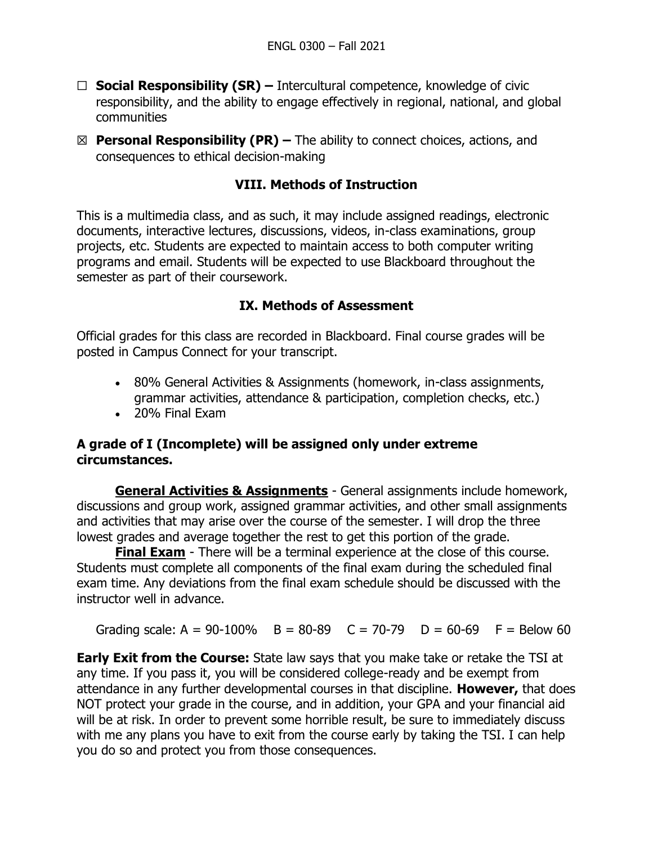- ☐ **Social Responsibility (SR) –** Intercultural competence, knowledge of civic responsibility, and the ability to engage effectively in regional, national, and global communities
- ☒ **Personal Responsibility (PR) –** The ability to connect choices, actions, and consequences to ethical decision-making

## **VIII. Methods of Instruction**

This is a multimedia class, and as such, it may include assigned readings, electronic documents, interactive lectures, discussions, videos, in-class examinations, group projects, etc. Students are expected to maintain access to both computer writing programs and email. Students will be expected to use Blackboard throughout the semester as part of their coursework.

## **IX. Methods of Assessment**

Official grades for this class are recorded in Blackboard. Final course grades will be posted in Campus Connect for your transcript.

- 80% General Activities & Assignments (homework, in-class assignments, grammar activities, attendance & participation, completion checks, etc.)
- 20% Final Exam

### **A grade of I (Incomplete) will be assigned only under extreme circumstances.**

**General Activities & Assignments** - General assignments include homework, discussions and group work, assigned grammar activities, and other small assignments and activities that may arise over the course of the semester. I will drop the three lowest grades and average together the rest to get this portion of the grade.

**Final Exam** - There will be a terminal experience at the close of this course. Students must complete all components of the final exam during the scheduled final exam time. Any deviations from the final exam schedule should be discussed with the instructor well in advance.

Grading scale:  $A = 90-100\%$  B = 80-89 C = 70-79 D = 60-69 F = Below 60

**Early Exit from the Course:** State law says that you make take or retake the TSI at any time. If you pass it, you will be considered college-ready and be exempt from attendance in any further developmental courses in that discipline. **However,** that does NOT protect your grade in the course, and in addition, your GPA and your financial aid will be at risk. In order to prevent some horrible result, be sure to immediately discuss with me any plans you have to exit from the course early by taking the TSI. I can help you do so and protect you from those consequences.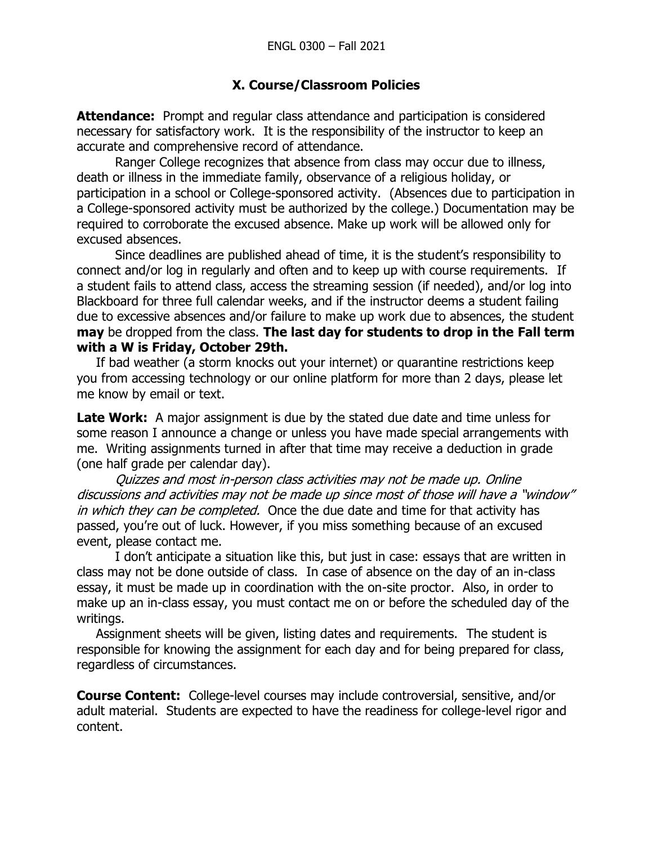## **X. Course/Classroom Policies**

**Attendance:** Prompt and regular class attendance and participation is considered necessary for satisfactory work. It is the responsibility of the instructor to keep an accurate and comprehensive record of attendance.

Ranger College recognizes that absence from class may occur due to illness, death or illness in the immediate family, observance of a religious holiday, or participation in a school or College-sponsored activity. (Absences due to participation in a College-sponsored activity must be authorized by the college.) Documentation may be required to corroborate the excused absence. Make up work will be allowed only for excused absences.

Since deadlines are published ahead of time, it is the student's responsibility to connect and/or log in regularly and often and to keep up with course requirements. If a student fails to attend class, access the streaming session (if needed), and/or log into Blackboard for three full calendar weeks, and if the instructor deems a student failing due to excessive absences and/or failure to make up work due to absences, the student **may** be dropped from the class. **The last day for students to drop in the Fall term with a W is Friday, October 29th.**

If bad weather (a storm knocks out your internet) or quarantine restrictions keep you from accessing technology or our online platform for more than 2 days, please let me know by email or text.

**Late Work:** A major assignment is due by the stated due date and time unless for some reason I announce a change or unless you have made special arrangements with me. Writing assignments turned in after that time may receive a deduction in grade (one half grade per calendar day).

Quizzes and most in-person class activities may not be made up. Online discussions and activities may not be made up since most of those will have a "window" in which they can be completed. Once the due date and time for that activity has passed, you're out of luck. However, if you miss something because of an excused event, please contact me.

I don't anticipate a situation like this, but just in case: essays that are written in class may not be done outside of class. In case of absence on the day of an in-class essay, it must be made up in coordination with the on-site proctor. Also, in order to make up an in-class essay, you must contact me on or before the scheduled day of the writings.

Assignment sheets will be given, listing dates and requirements. The student is responsible for knowing the assignment for each day and for being prepared for class, regardless of circumstances.

**Course Content:** College-level courses may include controversial, sensitive, and/or adult material. Students are expected to have the readiness for college-level rigor and content.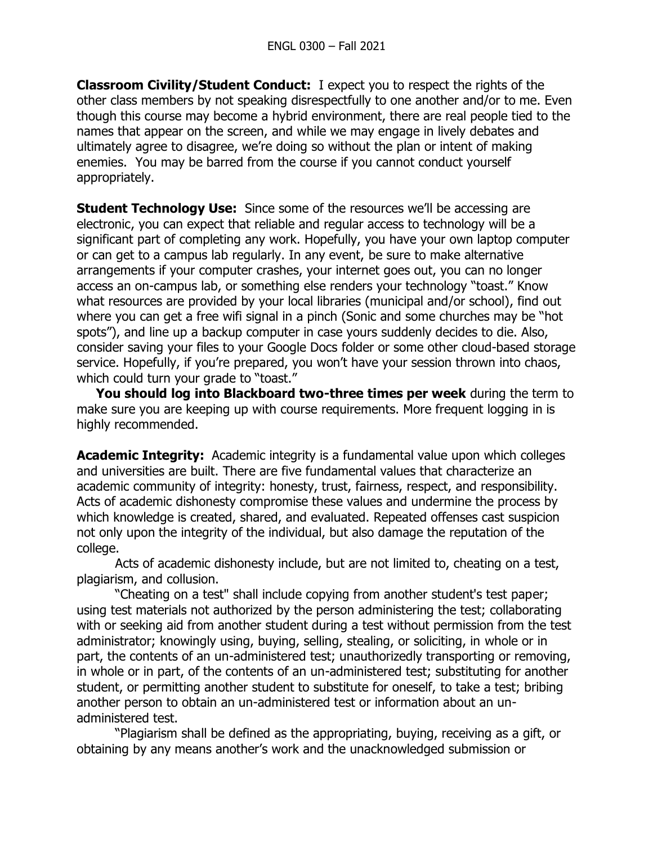**Classroom Civility/Student Conduct:** I expect you to respect the rights of the other class members by not speaking disrespectfully to one another and/or to me. Even though this course may become a hybrid environment, there are real people tied to the names that appear on the screen, and while we may engage in lively debates and ultimately agree to disagree, we're doing so without the plan or intent of making enemies. You may be barred from the course if you cannot conduct yourself appropriately.

**Student Technology Use:** Since some of the resources we'll be accessing are electronic, you can expect that reliable and regular access to technology will be a significant part of completing any work. Hopefully, you have your own laptop computer or can get to a campus lab regularly. In any event, be sure to make alternative arrangements if your computer crashes, your internet goes out, you can no longer access an on-campus lab, or something else renders your technology "toast." Know what resources are provided by your local libraries (municipal and/or school), find out where you can get a free wifi signal in a pinch (Sonic and some churches may be "hot spots"), and line up a backup computer in case yours suddenly decides to die. Also, consider saving your files to your Google Docs folder or some other cloud-based storage service. Hopefully, if you're prepared, you won't have your session thrown into chaos, which could turn your grade to "toast."

**You should log into Blackboard two-three times per week** during the term to make sure you are keeping up with course requirements. More frequent logging in is highly recommended.

**Academic Integrity:** Academic integrity is a fundamental value upon which colleges and universities are built. There are five fundamental values that characterize an academic community of integrity: honesty, trust, fairness, respect, and responsibility. Acts of academic dishonesty compromise these values and undermine the process by which knowledge is created, shared, and evaluated. Repeated offenses cast suspicion not only upon the integrity of the individual, but also damage the reputation of the college.

Acts of academic dishonesty include, but are not limited to, cheating on a test, plagiarism, and collusion.

"Cheating on a test" shall include copying from another student's test paper; using test materials not authorized by the person administering the test; collaborating with or seeking aid from another student during a test without permission from the test administrator; knowingly using, buying, selling, stealing, or soliciting, in whole or in part, the contents of an un-administered test; unauthorizedly transporting or removing, in whole or in part, of the contents of an un-administered test; substituting for another student, or permitting another student to substitute for oneself, to take a test; bribing another person to obtain an un-administered test or information about an unadministered test.

"Plagiarism shall be defined as the appropriating, buying, receiving as a gift, or obtaining by any means another's work and the unacknowledged submission or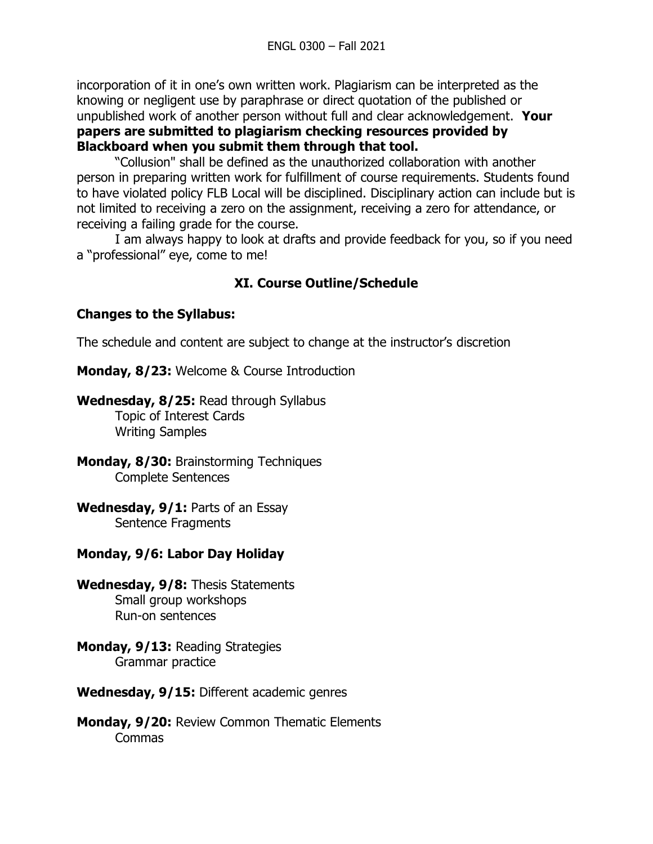incorporation of it in one's own written work. Plagiarism can be interpreted as the knowing or negligent use by paraphrase or direct quotation of the published or unpublished work of another person without full and clear acknowledgement. **Your papers are submitted to plagiarism checking resources provided by Blackboard when you submit them through that tool.**

"Collusion" shall be defined as the unauthorized collaboration with another person in preparing written work for fulfillment of course requirements. Students found to have violated policy FLB Local will be disciplined. Disciplinary action can include but is not limited to receiving a zero on the assignment, receiving a zero for attendance, or receiving a failing grade for the course.

I am always happy to look at drafts and provide feedback for you, so if you need a "professional" eye, come to me!

## **XI. Course Outline/Schedule**

### **Changes to the Syllabus:**

The schedule and content are subject to change at the instructor's discretion

**Monday, 8/23:** Welcome & Course Introduction

**Wednesday, 8/25:** Read through Syllabus Topic of Interest Cards Writing Samples

- **Monday, 8/30:** Brainstorming Techniques Complete Sentences
- **Wednesday, 9/1:** Parts of an Essay Sentence Fragments

## **Monday, 9/6: Labor Day Holiday**

- **Wednesday, 9/8:** Thesis Statements Small group workshops Run-on sentences
- **Monday, 9/13:** Reading Strategies Grammar practice
- **Wednesday, 9/15:** Different academic genres
- **Monday, 9/20:** Review Common Thematic Elements Commas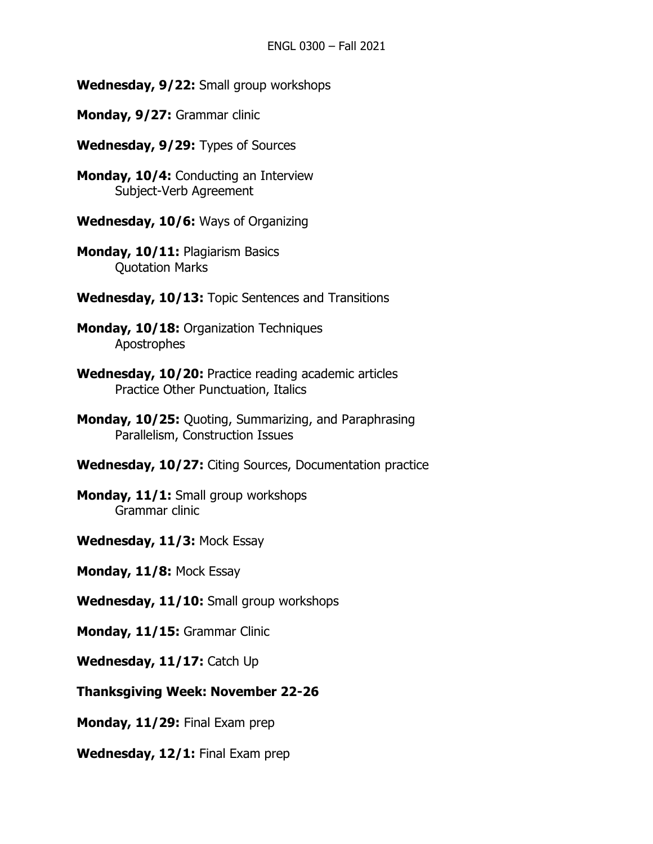**Wednesday, 9/22:** Small group workshops

- **Monday, 9/27:** Grammar clinic
- **Wednesday, 9/29:** Types of Sources
- **Monday, 10/4:** Conducting an Interview Subject-Verb Agreement
- **Wednesday, 10/6:** Ways of Organizing
- **Monday, 10/11:** Plagiarism Basics Quotation Marks
- **Wednesday, 10/13:** Topic Sentences and Transitions
- **Monday, 10/18:** Organization Techniques Apostrophes
- **Wednesday, 10/20:** Practice reading academic articles Practice Other Punctuation, Italics
- **Monday, 10/25:** Quoting, Summarizing, and Paraphrasing Parallelism, Construction Issues
- **Wednesday, 10/27:** Citing Sources, Documentation practice
- **Monday, 11/1:** Small group workshops Grammar clinic
- **Wednesday, 11/3:** Mock Essay
- **Monday, 11/8:** Mock Essay
- **Wednesday, 11/10:** Small group workshops
- **Monday, 11/15:** Grammar Clinic
- **Wednesday, 11/17:** Catch Up
- **Thanksgiving Week: November 22-26**
- **Monday, 11/29:** Final Exam prep
- **Wednesday, 12/1:** Final Exam prep